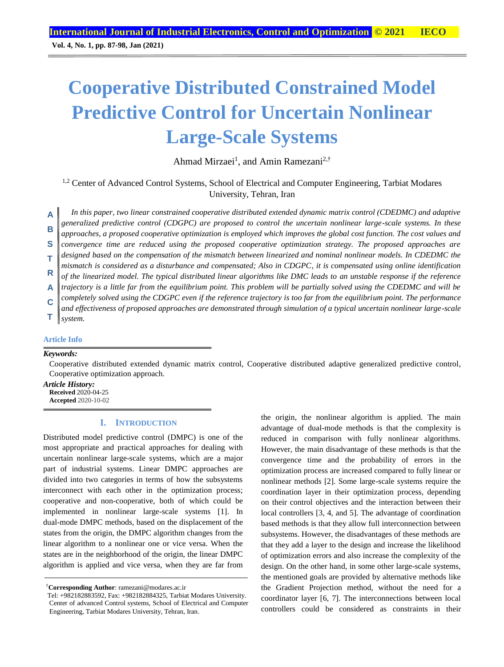**Vol. 4, No. 1, pp. 87-98, Jan (2021)**

# **Cooperative Distributed Constrained Model Predictive Control for Uncertain Nonlinear Large-Scale Systems**

Ahmad Mirzaei<sup>1</sup>, and Amin Ramezani<sup>2,†</sup>

<sup>1,2</sup> Center of Advanced Control Systems, School of Electrical and Computer Engineering, Tarbiat Modares University, Tehran, Iran

*In this paper, two linear constrained cooperative distributed extended dynamic matrix control (CDEDMC) and adaptive generalized predictive control (CDGPC) are proposed to control the uncertain nonlinear large-scale systems. In these approaches, a proposed cooperative optimization is employed which improves the global cost function. The cost values and convergence time are reduced using the proposed cooperative optimization strategy. The proposed approaches are designed based on the compensation of the mismatch between linearized and nominal nonlinear models. In CDEDMC the mismatch is considered as a disturbance and compensated; Also in CDGPC, it is compensated using online identification of the linearized model. The typical distributed linear algorithms like DMC leads to an unstable response if the reference trajectory is a little far from the equilibrium point. This problem will be partially solved using the CDEDMC and will be completely solved using the CDGPC even if the reference trajectory is too far from the equilibrium point. The performance and effectiveness of proposed approaches are demonstrated through simulation of a typical uncertain nonlinear large-scale system.* **A B S T R A C T**

## **Article Info**

#### *Keywords:*

Cooperative distributed extended dynamic matrix control, Cooperative distributed adaptive generalized predictive control, Cooperative optimization approach.

*Article History:* **Received** 2020-04-25

**Accepted** 2020-10-02

## **I. INTRODUCTION**

Distributed model predictive control (DMPC) is one of the most appropriate and practical approaches for dealing with uncertain nonlinear large-scale systems, which are a major part of industrial systems. Linear DMPC approaches are divided into two categories in terms of how the subsystems interconnect with each other in the optimization process; cooperative and non-cooperative, both of which could be implemented in nonlinear large-scale systems [1]. In dual-mode DMPC methods, based on the displacement of the states from the origin, the DMPC algorithm changes from the linear algorithm to a nonlinear one or vice versa. When the states are in the neighborhood of the origin, the linear DMPC algorithm is applied and vice versa, when they are far from

†**Corresponding Author**: ramezani@modares.ac.ir

the origin, the nonlinear algorithm is applied. The main advantage of dual-mode methods is that the complexity is reduced in comparison with fully nonlinear algorithms. However, the main disadvantage of these methods is that the convergence time and the probability of errors in the optimization process are increased compared to fully linear or nonlinear methods [2]. Some large-scale systems require the coordination layer in their optimization process, depending on their control objectives and the interaction between their local controllers [3, 4, and 5]. The advantage of coordination based methods is that they allow full interconnection between subsystems. However, the disadvantages of these methods are that they add a layer to the design and increase the likelihood of optimization errors and also increase the complexity of the design. On the other hand, in some other large-scale systems, the mentioned goals are provided by alternative methods like the Gradient Projection method, without the need for a coordinator layer [6, 7]. The interconnections between local controllers could be considered as constraints in their

Tel: +982182883592, Fax: +982182884325, Tarbiat Modares University. Center of advanced Control systems, School of Electrical and Computer Engineering, Tarbiat Modares University, Tehran, Iran.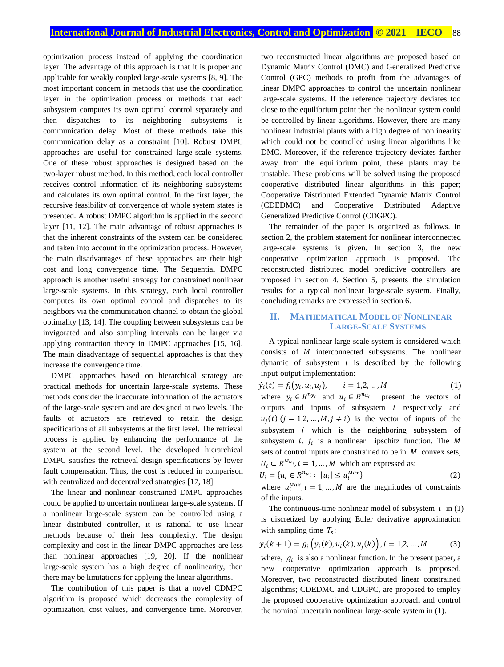optimization process instead of applying the coordination layer. The advantage of this approach is that it is proper and applicable for weakly coupled large-scale systems [8, 9]. The most important concern in methods that use the coordination layer in the optimization process or methods that each subsystem computes its own optimal control separately and then dispatches to its neighboring subsystems is communication delay. Most of these methods take this communication delay as a constraint [10]. Robust DMPC approaches are useful for constrained large-scale systems. One of these robust approaches is designed based on the two-layer robust method. In this method, each local controller receives control information of its neighboring subsystems and calculates its own optimal control. In the first layer, the recursive feasibility of convergence of whole system states is presented. A robust DMPC algorithm is applied in the second layer [11, 12]. The main advantage of robust approaches is that the inherent constraints of the system can be considered and taken into account in the optimization process. However, the main disadvantages of these approaches are their high cost and long convergence time. The Sequential DMPC approach is another useful strategy for constrained nonlinear large-scale systems. In this strategy, each local controller computes its own optimal control and dispatches to its neighbors via the communication channel to obtain the global optimality [13, 14]. The coupling between subsystems can be invigorated and also sampling intervals can be larger via applying contraction theory in DMPC approaches [15, 16]. The main disadvantage of sequential approaches is that they increase the convergence time.

DMPC approaches based on hierarchical strategy are practical methods for uncertain large-scale systems. These methods consider the inaccurate information of the actuators of the large-scale system and are designed at two levels. The faults of actuators are retrieved to retain the design specifications of all subsystems at the first level. The retrieval process is applied by enhancing the performance of the system at the second level. The developed hierarchical DMPC satisfies the retrieval design specifications by lower fault compensation. Thus, the cost is reduced in comparison with centralized and decentralized strategies [17, 18].

The linear and nonlinear constrained DMPC approaches could be applied to uncertain nonlinear large-scale systems. If a nonlinear large-scale system can be controlled using a linear distributed controller, it is rational to use linear methods because of their less complexity. The design complexity and cost in the linear DMPC approaches are less than nonlinear approaches [19, 20]. If the nonlinear large-scale system has a high degree of nonlinearity, then there may be limitations for applying the linear algorithms.

The contribution of this paper is that a novel CDMPC algorithm is proposed which decreases the complexity of optimization, cost values, and convergence time. Moreover,

two reconstructed linear algorithms are proposed based on Dynamic Matrix Control (DMC) and Generalized Predictive Control (GPC) methods to profit from the advantages of linear DMPC approaches to control the uncertain nonlinear large-scale systems. If the reference trajectory deviates too close to the equilibrium point then the nonlinear system could be controlled by linear algorithms. However, there are many nonlinear industrial plants with a high degree of nonlinearity which could not be controlled using linear algorithms like DMC. Moreover, if the reference trajectory deviates farther away from the equilibrium point, these plants may be unstable. These problems will be solved using the proposed cooperative distributed linear algorithms in this paper; Cooperative Distributed Extended Dynamic Matrix Control (CDEDMC) and Cooperative Distributed Adaptive Generalized Predictive Control (CDGPC).

The remainder of the paper is organized as follows. In section 2, the problem statement for nonlinear interconnected large-scale systems is given. In section 3, the new cooperative optimization approach is proposed. The reconstructed distributed model predictive controllers are proposed in section 4. Section 5, presents the simulation results for a typical nonlinear large-scale system. Finally, concluding remarks are expressed in section 6.

#### **II. MATHEMATICAL MODEL OF NONLINEAR LARGE-SCALE SYSTEMS**

A typical nonlinear large-scale system is considered which consists of  $M$  interconnected subsystems. The nonlinear dynamic of subsystem  $i$  is described by the following input-output implementation:

 $\dot{y}_i(t) = f_i(y_i, u_i)$  $i = 1, 2, ..., M$  (1) where  $y_i \in R^{n_{y_i}}$  and  $u_i \in R^{n_{u_i}}$  present the vectors of outputs and inputs of subsystem  $i$  respectively and  $u_j(t)$   $(j = 1,2,..., M, j \neq i)$  is the vector of inputs of the subsystem  $j$  which is the neighboring subsystem of subsystem *i*.  $f_i$  is a nonlinear Lipschitz function. The M sets of control inputs are constrained to be in  $M$  convex sets,  $U_i \subset R^{M_{u_i}}, i = 1, ..., M$  which are expressed as:

$$
U_i = \{u_i \in R^{n_{u_i}} : \ |u_i| \le u_i^{max}\}\tag{2}
$$

where  $u_i^{Max}$ ,  $i = 1, ..., M$  are the magnitudes of constraints of the inputs.

The continuous-time nonlinear model of subsystem  $i$  in (1) is discretized by applying Euler derivative approximation with sampling time  $T_s$ :

$$
y_i(k+1) = g_i\left(y_i(k), u_i(k), u_j(k)\right), i = 1, 2, ..., M
$$
 (3)

where,  $g_i$  is also a nonlinear function. In the present paper, a new cooperative optimization approach is proposed. Moreover, two reconstructed distributed linear constrained algorithms; CDEDMC and CDGPC, are proposed to employ the proposed cooperative optimization approach and control the nominal uncertain nonlinear large-scale system in (1).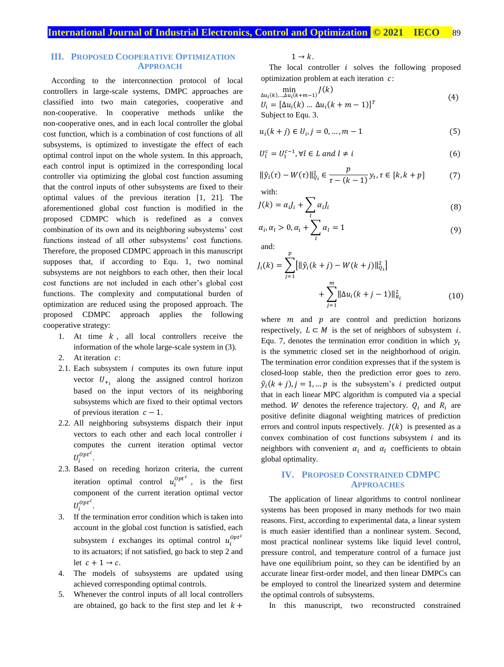## **III. PROPOSED COOPERATIVE OPTIMIZATION APPROACH**

According to the interconnection protocol of local controllers in large-scale systems, DMPC approaches are classified into two main categories, cooperative and non-cooperative. In cooperative methods unlike the non-cooperative ones, and in each local controller the global cost function, which is a combination of cost functions of all subsystems, is optimized to investigate the effect of each optimal control input on the whole system. In this approach, each control input is optimized in the corresponding local controller via optimizing the global cost function assuming that the control inputs of other subsystems are fixed to their optimal values of the previous iteration [1, 21]. The aforementioned global cost function is modified in the proposed CDMPC which is redefined as a convex combination of its own and its neighboring subsystems' cost functions instead of all other subsystems' cost functions. Therefore, the proposed CDMPC approach in this manuscript supposes that, if according to Equ. 1, two nominal subsystems are not neighbors to each other, then their local cost functions are not included in each other's global cost functions. The complexity and computational burden of optimization are reduced using the proposed approach. The proposed CDMPC approach applies the following cooperative strategy:

- 1. At time  $k$ , all local controllers receive the information of the whole large-scale system in (3).
- 2. At iteration  $c$ :
- 2.1. Each subsystem  $i$  computes its own future input vector  $U_{+i}$  along the assigned control horizon based on the input vectors of its neighboring subsystems which are fixed to their optimal vectors of previous iteration  $c - 1$ .
- 2.2. All neighboring subsystems dispatch their input vectors to each other and each local controller  $i$ computes the current iteration optimal vector  $U_i^{Opt^c}$ .
- 2.3. Based on receding horizon criteria, the current iteration optimal control  $u_i^{Opt^c}$ , is the first component of the current iteration optimal vector  $U_i^{Opt^c}.$
- 3. If the termination error condition which is taken into account in the global cost function is satisfied, each subsystem *i* exchanges its optimal control  $u_i^{optc}$ to its actuators; if not satisfied, go back to step 2 and let  $c + 1 \rightarrow c$ .
- 4. The models of subsystems are updated using achieved corresponding optimal controls.
- 5. Whenever the control inputs of all local controllers are obtained, go back to the first step and let  $k +$

 $1 \rightarrow k$ .

The local controller  $i$  solves the following proposed optimization problem at each iteration  $c$ :

$$
\min_{\Delta u_i(k),\ldots,\Delta u_i(k+m-1)} J(k)
$$
\n
$$
U_i = [\Delta u_i(k) \ldots \Delta u_i(k+m-1)]^T
$$
\n
$$
\text{Subject to Equ. 3.} \tag{4}
$$

$$
u_i(k + j) \in U_i, j = 0, \dots, m - 1
$$
\n(5)

$$
U_l^c = U_l^{c-1}, \forall l \in L \text{ and } l \neq i \tag{6}
$$

$$
\|\hat{y}_i(\tau) - W(\tau)\|_{Q_i}^2 \in \frac{p}{\tau - (k-1)} y_t, \tau \in [k, k+p]
$$
(7)

with:

$$
J(k) = \alpha_i J_i + \sum_l \alpha_l J_l \tag{8}
$$

$$
\alpha_i, \alpha_l > 0, \alpha_i + \sum_l \alpha_l = 1 \tag{9}
$$

and:

$$
J_i(k) = \sum_{j=1}^p \left[ \|\hat{y}_i(k+j) - W(k+j)\|_{Q_i}^2 \right] + \sum_{j=1}^m \|\Delta u_i(k+j-1)\|_{R_i}^2
$$
 (10)

where  $m$  and  $p$  are control and prediction horizons respectively,  $L \subset M$  is the set of neighbors of subsystem *i*. Equ. 7, denotes the termination error condition in which  $y_t$ is the symmetric closed set in the neighborhood of origin. The termination error condition expresses that if the system is closed-loop stable, then the prediction error goes to zero.  $\hat{y}_i(k+j), j = 1, \dots p$  is the subsystem's *i* predicted output that in each linear MPC algorithm is computed via a special method. W denotes the reference trajectory.  $Q_i$  and  $R_i$  are positive definite diagonal weighting matrices of prediction errors and control inputs respectively.  $J(k)$  is presented as a convex combination of cost functions subsystem  $i$  and its neighbors with convenient  $\alpha_i$  and  $\alpha_l$  coefficients to obtain global optimality.

#### **IV. PROPOSED CONSTRAINED CDMPC APPROACHES**

The application of linear algorithms to control nonlinear systems has been proposed in many methods for two main reasons. First, according to experimental data, a linear system is much easier identified than a nonlinear system. Second, most practical nonlinear systems like liquid level control, pressure control, and temperature control of a furnace just have one equilibrium point, so they can be identified by an accurate linear first-order model, and then linear DMPCs can be employed to control the linearized system and determine the optimal controls of subsystems.

In this manuscript, two reconstructed constrained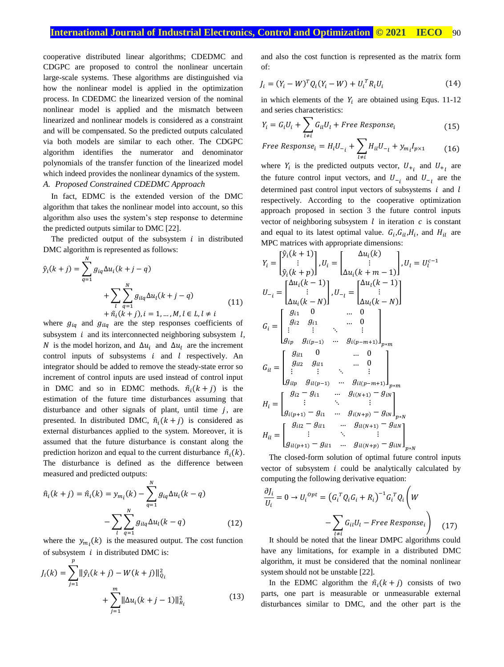## **International Journal of Industrial Electronics, Control and Optimization © 2021 IECO** 90

cooperative distributed linear algorithms; CDEDMC and CDGPC are proposed to control the nonlinear uncertain large-scale systems. These algorithms are distinguished via how the nonlinear model is applied in the optimization process. In CDEDMC the linearized version of the nominal nonlinear model is applied and the mismatch between linearized and nonlinear models is considered as a constraint and will be compensated. So the predicted outputs calculated via both models are similar to each other. The CDGPC algorithm identifies the numerator and denominator polynomials of the transfer function of the linearized model which indeed provides the nonlinear dynamics of the system.

# *A. Proposed Constrained CDEDMC Approach*

In fact, EDMC is the extended version of the DMC algorithm that takes the nonlinear model into account, so this algorithm also uses the system's step response to determine the predicted outputs similar to DMC [22].

The predicted output of the subsystem  $i$  in distributed DMC algorithm is represented as follows:

$$
\hat{y}_i(k+j) = \sum_{q=1}^N g_{iq} \Delta u_i(k+j-q) \n+ \sum_{l} \sum_{q=1}^N g_{ilq} \Delta u_l(k+j-q) \n+ \hat{n}_i(k+j), i = 1, ..., M, l \in L, l \neq i
$$
\n(11)

where  $g_{iq}$  and  $g_{ilq}$  are the step responses coefficients of subsystem  $i$  and its interconnected neighboring subsystem  $l$ , N is the model horizon, and  $\Delta u_i$  and  $\Delta u_i$  are the increment control inputs of subsystems  $i$  and  $l$  respectively. An integrator should be added to remove the steady-state error so increment of control inputs are used instead of control input in DMC and so in EDMC methods.  $\hat{n}_i(k+j)$  is the estimation of the future time disturbances assuming that disturbance and other signals of plant, until time  $j$ , are presented. In distributed DMC,  $\hat{n}_i(k + j)$  is considered as external disturbances applied to the system. Moreover, it is assumed that the future disturbance is constant along the prediction horizon and equal to the current disturbance  $\hat{n}_i(k)$ . The disturbance is defined as the difference between measured and predicted outputs:

$$
\hat{n}_i(k+j) = \hat{n}_i(k) = y_{m_i}(k) - \sum_{q=1}^N g_{iq} \Delta u_i(k-q) - \sum_{l} \sum_{q=1}^N g_{ilq} \Delta u_l(k-q)
$$
\n(12)

where the  $y_{m_i}(k)$  is the measured output. The cost function of subsystem  $i$  in distributed DMC is:

 $\boldsymbol{p}$ 

$$
J_i(k) = \sum_{j=1}^n \|\hat{y}_i(k+j) - W(k+j)\|_{Q_i}^2 + \sum_{j=1}^m \|\Delta u_i(k+j-1)\|_{R_i}^2
$$
 (13)

and also the cost function is represented as the matrix form of:

$$
J_i = (Y_i - W)^T Q_i (Y_i - W) + U_i^T R_i U_i
$$
 (14)

in which elements of the  $Y_i$  are obtained using Equs. 11-12 and series characteristics:

$$
Y_i = G_i U_i + \sum_{l \neq i} G_{il} U_l + Free Response_i
$$
 (15)

Free Response<sub>i</sub> = 
$$
H_i U_{-i} + \sum_{l \neq i} H_{il} U_{-l} + y_{m_i} I_{p \times 1}
$$
 (16)

where  $Y_i$  is the predicted outputs vector,  $U_{+i}$  and  $U_{+i}$  are the future control input vectors, and  $U_{-i}$  and  $U_{-i}$  are the determined past control input vectors of subsystems  $i$  and  $l$ respectively. According to the cooperative optimization approach proposed in section 3 the future control inputs vector of neighboring subsystem  $l$  in iteration  $c$  is constant and equal to its latest optimal value.  $G_i$ ,  $G_{il}$ ,  $H_i$ , and  $H_{il}$  are MPC matrices with appropriate dimensions:

$$
Y_{i} = \begin{bmatrix} \hat{y}_{i}(k+1) \\ \vdots \\ \hat{y}_{i}(k+p) \end{bmatrix}, U_{i} = \begin{bmatrix} \Delta u_{i}(k) \\ \vdots \\ \Delta u_{i}(k+m-1) \end{bmatrix}, U_{l} = U_{l}^{c-1}
$$
  
\n
$$
U_{-i} = \begin{bmatrix} \Delta u_{i}(k-1) \\ \vdots \\ \Delta u_{i}(k-N) \end{bmatrix}, U_{-i} = \begin{bmatrix} \Delta u_{i}(k-1) \\ \vdots \\ \Delta u_{i}(k-N) \end{bmatrix}
$$
  
\n
$$
G_{i} = \begin{bmatrix} g_{i1} & 0 & \dots & 0 \\ g_{i2} & g_{i1} & \dots & 0 \\ \vdots & \vdots & \ddots & \vdots \\ g_{ip} & g_{i(p-1)} & \dots & g_{i(p-m+1)} \end{bmatrix}_{p+m}
$$
  
\n
$$
G_{i1} = \begin{bmatrix} g_{i1} & 0 & \dots & 0 \\ g_{i12} & g_{i11} & \dots & 0 \\ \vdots & \vdots & \ddots & \vdots \\ g_{i1p} & g_{i1(p-1)} & \dots & g_{i(N+1)} - g_{iN} \\ \vdots & \vdots & \ddots & \vdots \\ g_{i(p+1)} - g_{i1} & \dots & g_{i(N+p)} - g_{iN} \end{bmatrix}_{p*N}
$$
  
\n
$$
H_{i} = \begin{bmatrix} g_{i2} - g_{i1} & \dots & g_{i(N+p)} - g_{iN} \\ \vdots & \ddots & \vdots \\ g_{i(p+1)} - g_{i1} & \dots & g_{i(N+p)} - g_{iN} \end{bmatrix}_{p*N}
$$

The closed-form solution of optimal future control inputs vector of subsystem  $i$  could be analytically calculated by computing the following derivative equation:

$$
\frac{\partial J_i}{U_i} = 0 \rightarrow U_i^{opt} = (G_i^T Q_i G_i + R_i)^{-1} G_i^T Q_i \left( W - \sum_{l \neq i} G_{il} U_l - Free Response_i \right)
$$
 (17)  
It should be noted that the linear DMPC algorithms could

have any limitations, for example in a distributed DMC algorithm, it must be considered that the nominal nonlinear system should not be unstable [22].

In the EDMC algorithm the  $\hat{n}_i (k + j)$  consists of two parts, one part is measurable or unmeasurable external disturbances similar to DMC, and the other part is the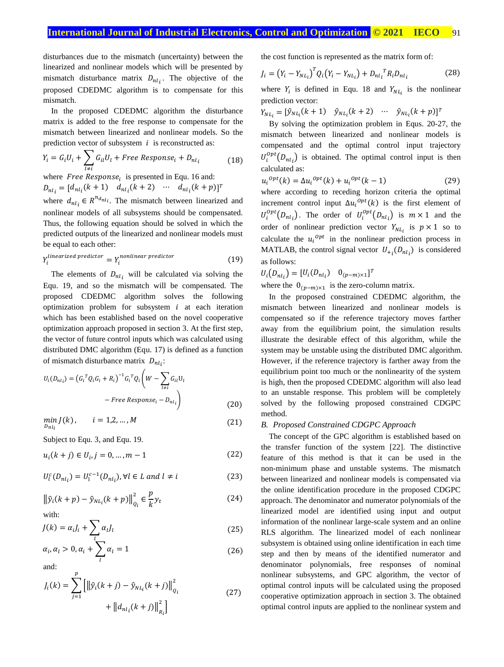## **International Journal of Industrial Electronics, Control and Optimization .© 2021 IECO….**91

disturbances due to the mismatch (uncertainty) between the linearized and nonlinear models which will be presented by mismatch disturbance matrix  $D_{nl_i}$ . The objective of the proposed CDEDMC algorithm is to compensate for this mismatch.

In the proposed CDEDMC algorithm the disturbance matrix is added to the free response to compensate for the mismatch between linearized and nonlinear models. So the prediction vector of subsystem  $i$  is reconstructed as:

$$
Y_i = G_i U_i + \sum_{l \neq i} G_{il} U_l + Free Response_i + D_{nl_i}
$$
\n(18)

where *Free Response<sub>i</sub>* is presented in Equ. 16 and:  

$$
D_{nl_i} = [d_{nl_i}(k+1) \quad d_{nl_i}(k+2) \quad \cdots \quad d_{nl_i}(k+p)]^T
$$

where  $d_{nl_i} \in R^{n_{dl_i}}$ . The mismatch between linearized and nonlinear models of all subsystems should be compensated. Thus, the following equation should be solved in which the predicted outputs of the linearized and nonlinear models must be equal to each other:

$$
Y_i^{linearized\ predictor} = Y_i^{nonlinear\ predictor} \tag{19}
$$

The elements of  $D_{nl_i}$  will be calculated via solving the Equ. 19, and so the mismatch will be compensated. The proposed CDEDMC algorithm solves the following optimization problem for subsystem  $i$  at each iteration which has been established based on the novel cooperative optimization approach proposed in section 3. At the first step, the vector of future control inputs which was calculated using distributed DMC algorithm (Equ. 17) is defined as a function of mismatch disturbance matrix  $D_{nl_i}$ :

$$
U_i(D_{nl_i}) = (G_i^T Q_i G_i + R_i)^{-1} G_i^T Q_i \left( W - \sum_{l \neq i} G_{il} U_l - \text{Free Response}_i - D_{nl_i} \right)
$$
\n(20)

$$
\min_{D_{nl_i}} J(k), \qquad i = 1, 2, ..., M \tag{21}
$$

Subject to Equ. 3, and Equ. 19.

$$
u_i(k+j) \in U_i, j = 0, \dots, m-1
$$
 (22)

$$
U_l^c(D_{nl_i}) = U_l^{c-1}(D_{nl_i}), \forall l \in L \text{ and } l \neq i \tag{23}
$$

$$
\left\|\hat{y}_i(k+p) - \hat{y}_{NL_i}(k+p)\right\|_{Q_i}^2 \in \frac{p}{k} y_t
$$
\nwith

\n
$$
(24)
$$

$$
J(k) = \alpha_i J_i + \sum_l \alpha_l J_l \tag{25}
$$

$$
\alpha_i, \alpha_l > 0, \alpha_i + \sum_l \alpha_l = 1 \tag{26}
$$

and:

$$
J_i(k) = \sum_{j=1}^{p} \left[ \left\| \hat{y}_i(k+j) - \hat{y}_{NL_i}(k+j) \right\|_{Q_i}^2 + \left\| d_{nl_i}(k+j) \right\|_{R_i}^2 \right]
$$
(27)

the cost function is represented as the matrix form of:

$$
J_i = (Y_i - Y_{NL_i})^T Q_i (Y_i - Y_{NL_i}) + D_{nl_i}^T R_i D_{nl_i}
$$
 (28)

where  $Y_i$  is defined in Equ. 18 and  $Y_{NL_i}$  is the nonlinear prediction vector:

 $Y_{NL_i} = [\hat{y}_{NL_i}(k+1) \quad \hat{y}_{NL_i}(k+2) \quad \cdots \quad \hat{y}_{NL_i}(k+p)]^T$ 

By solving the optimization problem in Equs. 20-27, the mismatch between linearized and nonlinear models is compensated and the optimal control input trajectory  $U_i^{opt}(D_{nl_i})$  is obtained. The optimal control input is then calculated as:

$$
u_i^{opt}(k) = \Delta u_i^{opt}(k) + u_i^{opt}(k-1)
$$
 (29)

where according to receding horizon criteria the optimal increment control input  $\Delta u_i^{opt}(k)$  is the first element of  $U_i^{opt}(D_{nl_i})$ . The order of  $U_i^{opt}(D_{nl_i})$  is  $m \times 1$  and the order of nonlinear prediction vector  $Y_{NL_i}$  is  $p \times 1$  so to calculate the  $u_i^{opt}$  in the nonlinear prediction process in MATLAB, the control signal vector  $U_{+i}(D_{nl})$  is considered as follows:

 $U_i(D_{nl_i}) = [U_i(D_{nl_i}) \quad 0_{(p-m)\times 1}]^T$ 

where the  $0_{(p-m)\times 1}$  is the zero-column matrix.

In the proposed constrained CDEDMC algorithm, the mismatch between linearized and nonlinear models is compensated so if the reference trajectory moves farther away from the equilibrium point, the simulation results illustrate the desirable effect of this algorithm, while the system may be unstable using the distributed DMC algorithm. However, if the reference trajectory is farther away from the equilibrium point too much or the nonlinearity of the system is high, then the proposed CDEDMC algorithm will also lead to an unstable response. This problem will be completely solved by the following proposed constrained CDGPC method.

#### *B. Proposed Constrained CDGPC Approach*

The concept of the GPC algorithm is established based on the transfer function of the system [22]. The distinctive feature of this method is that it can be used in the non-minimum phase and unstable systems. The mismatch between linearized and nonlinear models is compensated via the online identification procedure in the proposed CDGPC approach. The denominator and numerator polynomials of the linearized model are identified using input and output information of the nonlinear large-scale system and an online RLS algorithm. The linearized model of each nonlinear subsystem is obtained using online identification in each time step and then by means of the identified numerator and denominator polynomials, free responses of nominal nonlinear subsystems, and GPC algorithm, the vector of optimal control inputs will be calculated using the proposed cooperative optimization approach in section 3. The obtained optimal control inputs are applied to the nonlinear system and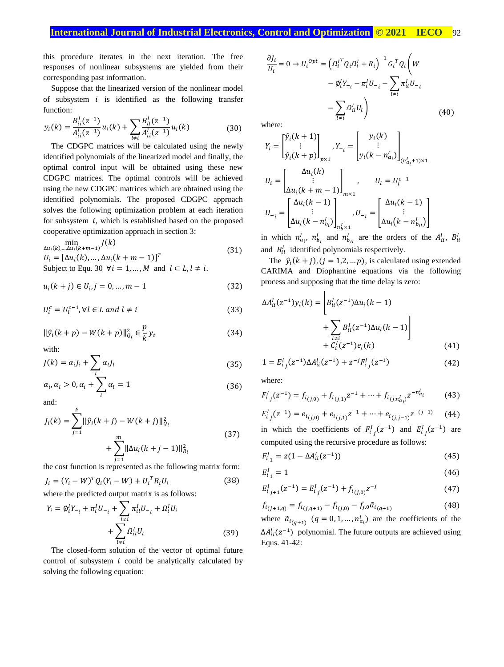## **International Journal of Industrial Electronics, Control and Optimization © 2021 IECO ... 92**

this procedure iterates in the next iteration. The free responses of nonlinear subsystems are yielded from their corresponding past information.

Suppose that the linearized version of the nonlinear model of subsystem  $i$  is identified as the following transfer function:

$$
y_i(k) = \frac{B_{ii}^l(z^{-1})}{A_{ii}^l(z^{-1})} u_i(k) + \sum_{l \neq i} \frac{B_{il}^l(z^{-1})}{A_{il}^l(z^{-1})} u_l(k)
$$
(30)

The CDGPC matrices will be calculated using the newly identified polynomials of the linearized model and finally, the optimal control input will be obtained using these new CDGPC matrices. The optimal controls will be achieved using the new CDGPC matrices which are obtained using the identified polynomials. The proposed CDGPC approach solves the following optimization problem at each iteration for subsystem  $i$ , which is established based on the proposed cooperative optimization approach in section 3:

$$
\min_{\Delta u_i(k),\dots,\Delta u_i(k+m-1)} J(k)
$$
\n
$$
U_i = [\Delta u_i(k),\dots,\Delta u_i(k+m-1)]^T
$$
\n(31)

Subject to Equ. 30  $\forall i = 1, ..., M$  and  $l \subset L, l \neq i$ .

$$
u_i(k+j) \in U_i, j = 0, \dots, m-1
$$
 (32)

$$
U_l^c = U_l^{c-1}, \forall l \in L \text{ and } l \neq i \tag{33}
$$

$$
\|\hat{y}_i(k+p) - W(k+p)\|_{Q_i}^2 \in \frac{p}{k} y_t \tag{34}
$$

with:

$$
J(k) = \alpha_i J_i + \sum_l \alpha_l J_l \tag{35}
$$

$$
\alpha_i, \alpha_l > 0, \alpha_i + \sum_l \alpha_l = 1 \tag{36}
$$

and:

$$
J_i(k) = \sum_{j=1}^p \|\hat{y}_i(k+j) - W(k+j)\|_{Q_i}^2 + \sum_{j=1}^m \|\Delta u_i(k+j-1)\|_{R_i}^2
$$
\n(37)

the cost function is represented as the following matrix form:

$$
J_i = (Y_i - W)^T Q_i (Y_i - W) + U_i^T R_i U_i
$$
\n(38)

where the predicted output matrix is as follows:

$$
Y_{i} = \emptyset_{i}^{I} Y_{-i} + \pi_{i}^{I} U_{-i} + \sum_{l \neq i} \pi_{il}^{I} U_{-l} + \Omega_{i}^{I} U_{i} + \sum_{l \neq i} \Omega_{il}^{I} U_{l}
$$
\n(39)

The closed-form solution of the vector of optimal future control of subsystem  $i$  could be analytically calculated by solving the following equation:

$$
\frac{\partial J_i}{U_i} = 0 \rightarrow U_i^{opt} = \left(\Omega_i^{T} Q_i \Omega_i^{T} + R_i\right)^{-1} G_i^{T} Q_i \left(W - \phi_i^{T} Y_{-i} - \pi_i^{T} U_{-i} - \sum_{l \neq i} \pi_{il}^{T} U_{-l} - \sum_{l \neq i} \Omega_{il}^{T} U_l\right)
$$
\n
$$
(40)
$$

where:

$$
Y_{i} = \begin{bmatrix} \hat{y}_{i}(k+1) \\ \vdots \\ \hat{y}_{i}(k+p) \end{bmatrix}_{p\times 1}, Y_{-i} = \begin{bmatrix} y_{i}(k) \\ \vdots \\ y_{i}(k-n_{a_{i}}^{l}) \end{bmatrix}_{(n_{a_{i}}^{l}+1)\times 1}
$$

$$
U_{i} = \begin{bmatrix} \Delta u_{i}(k) \\ \vdots \\ \Delta u_{i}(k+m-1) \end{bmatrix}_{m\times 1}, \qquad U_{l} = U_{l}^{c-1}
$$

$$
U_{-i} = \begin{bmatrix} \Delta u_{i}(k-1) \\ \vdots \\ \Delta u_{i}(k-n_{b_{i}}^{l}) \end{bmatrix}_{n_{b}^{l}\times 1}, U_{-i} = \begin{bmatrix} \Delta u_{i}(k-1) \\ \vdots \\ \Delta u_{i}(k-n_{b_{i}}^{l}) \end{bmatrix}
$$

in which  $n_{a_i}^l$ ,  $n_{b_i}^l$  and  $n_{b_{i_l}}^l$  are the orders of the  $A_{ii}^l$ ,  $B_{ii}^l$ and  $B_{il}^I$  identified polynomials respectively.

The  $\hat{y}_i(k+j)$ ,  $(j = 1,2,...p)$ , is calculated using extended CARIMA and Diophantine equations via the following process and supposing that the time delay is zero:

 $\Gamma$ 

$$
\Delta A_{ii}^{I}(z^{-1})y_i(k) = \left[ B_{ii}^{I}(z^{-1})\Delta u_i(k-1) + \sum_{\substack{l \neq i \\ l \neq i}} B_{il}^{I}(z^{-1})\Delta u_l(k-1) \right]
$$
  
+  $C_{i}^{I}(z^{-1})e_i(k)$  (41)

$$
1 = E_{i_j}^I(z^{-1}) \Delta A_{ii}^I(z^{-1}) + z^{-j} F_{i_j}^I(z^{-1}) \tag{42}
$$

where:

$$
F_{i_j}^I(z^{-1}) = f_{i(j,0)} + f_{i(j,1)}z^{-1} + \dots + f_{i(j,n_{a_i}^I)}z^{-n_{a_i}^I}
$$
(43)

$$
E_{i_j}^I(z^{-1}) = e_{i_{(j,0)}} + e_{i_{(j,1)}} z^{-1} + \dots + e_{i_{(j,j-1)}} z^{-(j-1)} \tag{44}
$$

in which the coefficients of  $F_{i,j}^1(z^{-1})$  and  $E_{i,j}^1(z^{-1})$  are computed using the recursive procedure as follows:

$$
F_{i_1}^I = z(1 - \Delta A_{ii}^I(z^{-1})) \tag{45}
$$

$$
E_{i_1}^l = 1 \tag{46}
$$

$$
E_{i_{j+1}}^I(z^{-1}) = E_{i_j}^I(z^{-1}) + f_{i_{(j,0)}} z^{-j}
$$
\n(47)

$$
f_{i(j+1,q)} = f_{i(j,q+1)} - f_{i(j,0)} - f_{j,0}\tilde{a}_{i(q+1)}
$$
\n(48)

where  $\tilde{a}_{i(q+1)}$   $(q = 0, 1, ..., n_{a_i}^l)$  are the coefficients of the  $\Delta A_{ii}^{I}(z^{-1})$  polynomial. The future outputs are achieved using Equs. 41-42: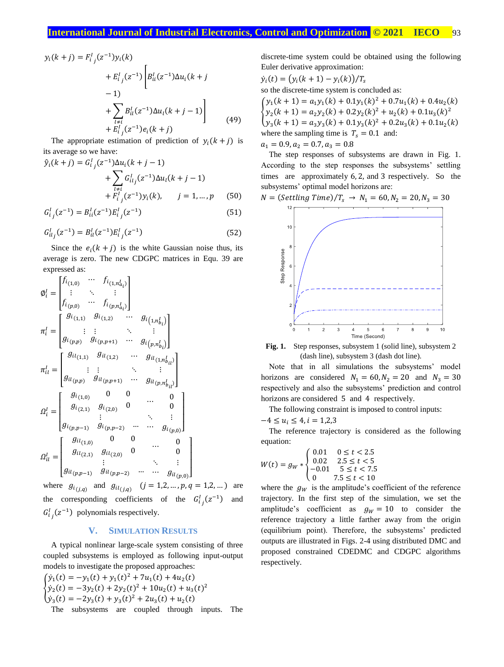$$
y_i(k+j) = F_{i_j}^l (z^{-1}) y_i(k)
$$
  
+ 
$$
E_{i_j}^l (z^{-1}) \left[ B_{ii}^l (z^{-1}) \Delta u_i(k+j-1) \right]
$$
  
- 1)  
+ 
$$
\sum_{\substack{l \neq i \\ l \neq i}} B_{il}^l (z^{-1}) \Delta u_l(k+j-1) \right]
$$
(49)

The appropriate estimation of prediction of  $y_i(k+j)$  is its average so we have:

$$
\hat{y}_i(k+j) = G_{ij}^I(z^{-1})\Delta u_i(k+j-1) \n+ \sum_{l \neq i} G_{ilj}^I(z^{-1})\Delta u_l(k+j-1) \n+ F_{ij}^I(z^{-1})y_i(k), \qquad j = 1, ..., p \qquad (50)
$$

$$
G_{i_j}^l(z^{-1}) = B_{ii}^l(z^{-1})E_{i_j}^l(z^{-1})
$$
\n(51)

$$
G_{ilj}^{I}(z^{-1}) = B_{il}^{I}(z^{-1})E_{ij}^{I}(z^{-1})
$$
\n(52)

Since the  $e_i (k + j)$  is the white Gaussian noise thus, its average is zero. The new CDGPC matrices in Equ. 39 are expressed as:

$$
\varnothing_{i}^{I} = \begin{bmatrix}\nf_{i_{(1,0)}} & \cdots & f_{i_{(1,n_{a_{i}}^{I})}} \\
\vdots & \ddots & \vdots \\
f_{i_{(p,0)}} & \cdots & f_{i_{(p,n_{a_{i}}^{I})}}\n\end{bmatrix}
$$
\n
$$
\pi_{i}^{I} = \begin{bmatrix}\ng_{i_{(1,1)}} & g_{i_{(1,2)}} & \cdots & g_{i_{(1,n_{b_{i}}^{I})}} \\
\vdots & \vdots & \ddots & \vdots \\
g_{i_{(p,p)}} & g_{i_{(p,p+1)}} & \cdots & g_{i_{(p,n_{b_{i}}^{I})}}\n\end{bmatrix}
$$
\n
$$
\pi_{il}^{I} = \begin{bmatrix}\ng_{i_{(1,1)}} & g_{i_{(1,2)}} & \cdots & g_{i_{(1,n_{b_{i}}^{I})}} \\
\vdots & \vdots & \ddots & \vdots \\
g_{i_{(p,p)}} & g_{i_{(p,p+1)}} & \cdots & g_{i_{(p,n_{b_{i}}^{I})}}\n\end{bmatrix}
$$
\n
$$
\Omega_{i}^{I} = \begin{bmatrix}\ng_{i_{(1,0)}} & 0 & 0 & \cdots & 0 \\
g_{i_{(2,1)}} & g_{i_{(2,0)}} & 0 & \cdots & 0 \\
\vdots & \vdots & \ddots & \vdots & \vdots \\
g_{i_{(p,p-1)}} & g_{i_{(p,p-2)}} & \cdots & g_{i_{(p,0}}\n\end{bmatrix}
$$
\n
$$
\Omega_{il}^{I} = \begin{bmatrix}\ng_{i_{(1,0)}} & 0 & 0 & \cdots & 0 \\
g_{i_{(1,0)}} & g_{i_{(2,0)}} & 0 & \cdots & 0 \\
\vdots & \ddots & \vdots & \vdots \\
g_{i_{(p,p-1)}} & g_{i_{(p,p-2)}} & \cdots & \cdots & g_{i_{(p,0}}\n\end{bmatrix}
$$

where  $g_{i_{(j,q)}}$  and  $g_{i_{(j,q)}}$   $(j = 1,2,...,p,q = 1,2,...)$  are the corresponding coefficients of the  $G_{i,j}^{1}(z^{-1})$  and  $G_{i_j}^1(z^{-1})$  polynomials respectively.

#### **V. SIMULATION RESULTS**

A typical nonlinear large-scale system consisting of three coupled subsystems is employed as following input-output models to investigate the proposed approaches:

$$
\begin{cases}\n\dot{y}_1(t) = -y_1(t) + y_1(t)^2 + 7u_1(t) + 4u_2(t) \\
\dot{y}_2(t) = -3y_2(t) + 2y_2(t)^2 + 10u_2(t) + u_3(t)^2 \\
\dot{y}_3(t) = -2y_3(t) + y_3(t)^2 + 2u_3(t) + u_2(t)\n\end{cases}
$$
\nThe subsystems are coupled through inputs. The

discrete-time system could be obtained using the following Euler derivative approximation:

$$
\dot{y}_i(t) = (y_i(k+1) - y_i(k))/T_s
$$
  
so the discrete-time system is concluded as:  

$$
\begin{cases}\ny_1(k+1) = a_1y_1(k) + 0.1y_1(k)^2 + 0.7u_1(k) + 0.4u_2(k) \\
y_2(k+1) = a_2y_2(k) + 0.2y_2(k)^2 + u_2(k) + 0.1u_3(k)^2 \\
y_3(k+1) = a_3y_3(k) + 0.1y_3(k)^2 + 0.2u_3(k) + 0.1u_2(k) \\
\text{where the sampling time is } T_s = 0.1 \text{ and:}
$$
  
 $a_1 = 0.9, a_2 = 0.7, a_3 = 0.8$ 

The step responses of subsystems are drawn in Fig. 1. According to the step responses the subsystems' settling times are approximately 6, 2, and 3 respectively. So the subsystems' optimal model horizons are:

$$
N = (Setting Time)/T_s \rightarrow N_1 = 60, N_2 = 20, N_3 = 30
$$



Fig. 1. Step responses, subsystem 1 (solid line), subsystem 2 (dash line), subsystem 3 (dash dot line).

Note that in all simulations the subsystems' model horizons are considered  $N_1 = 60$ ,  $N_2 = 20$  and  $N_3 = 30$ respectively and also the subsystems' prediction and control horizons are considered 5 and 4 respectively.

The following constraint is imposed to control inputs:

$$
-4\leq u_i\leq 4, i=1,2,3
$$

The reference trajectory is considered as the following equation:

$$
W(t) = g_W * \begin{cases} 0.01 & 0 \le t < 2.5 \\ 0.02 & 2.5 \le t < 5 \\ -0.01 & 5 \le t < 7.5 \\ 0 & 7.5 \le t < 10 \end{cases}
$$

where the  $g_W$  is the amplitude's coefficient of the reference trajectory. In the first step of the simulation, we set the amplitude's coefficient as  $g_W = 10$  to consider the reference trajectory a little farther away from the origin (equilibrium point). Therefore, the subsystems' predicted outputs are illustrated in Figs. 2-4 using distributed DMC and proposed constrained CDEDMC and CDGPC algorithms respectively.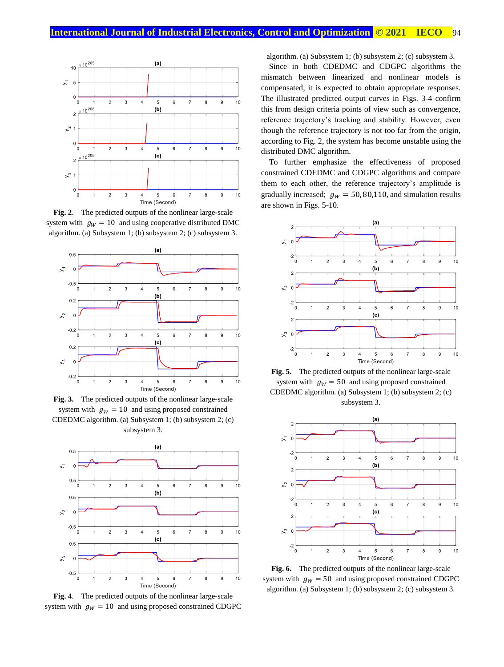

**Fig. 2**. The predicted outputs of the nonlinear large-scale system with  $g_W = 10$  and using cooperative distributed DMC algorithm. (a) Subsystem 1; (b) subsystem 2; (c) subsystem 3.



**Fig. 3.** The predicted outputs of the nonlinear large-scale system with  $g_W = 10$  and using proposed constrained CDEDMC algorithm. (a) Subsystem 1; (b) subsystem 2; (c) subsystem 3.



**Fig. 4**. The predicted outputs of the nonlinear large-scale system with  $g_W = 10$  and using proposed constrained CDGPC

algorithm. (a) Subsystem 1; (b) subsystem 2; (c) subsystem 3.

Since in both CDEDMC and CDGPC algorithms the mismatch between linearized and nonlinear models is compensated, it is expected to obtain appropriate responses. The illustrated predicted output curves in Figs. 3-4 confirm this from design criteria points of view such as convergence, reference trajectory's tracking and stability. However, even though the reference trajectory is not too far from the origin, according to Fig. 2, the system has become unstable using the distributed DMC algorithm.

To further emphasize the effectiveness of proposed constrained CDEDMC and CDGPC algorithms and compare them to each other, the reference trajectory's amplitude is gradually increased;  $g_W = 50,80,110$ , and simulation results are shown in Figs. 5-10.



**Fig. 5.** The predicted outputs of the nonlinear large-scale system with  $g_W = 50$  and using proposed constrained CDEDMC algorithm. (a) Subsystem 1; (b) subsystem 2; (c) subsystem 3.



**Fig. 6.** The predicted outputs of the nonlinear large-scale system with  $g_W = 50$  and using proposed constrained CDGPC algorithm. (a) Subsystem 1; (b) subsystem 2; (c) subsystem 3.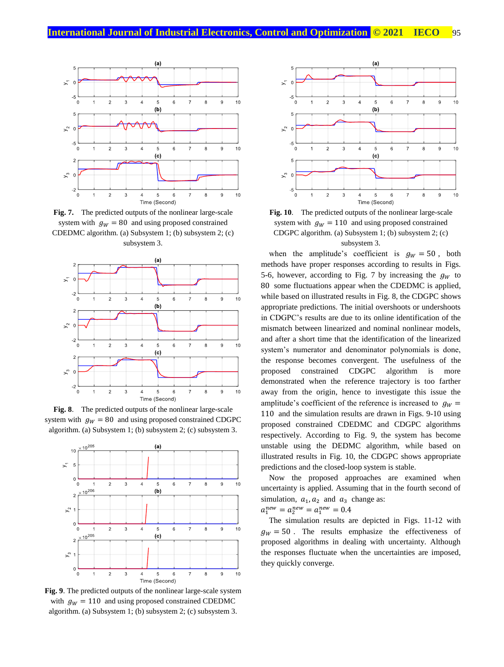

**Fig. 7.** The predicted outputs of the nonlinear large-scale system with  $g_W = 80$  and using proposed constrained CDEDMC algorithm. (a) Subsystem 1; (b) subsystem 2; (c) subsystem 3.



**Fig. 8**. The predicted outputs of the nonlinear large-scale system with  $q_W = 80$  and using proposed constrained CDGPC algorithm. (a) Subsystem 1; (b) subsystem 2; (c) subsystem 3.



**Fig. 9**. The predicted outputs of the nonlinear large-scale system with  $g_W = 110$  and using proposed constrained CDEDMC algorithm. (a) Subsystem 1; (b) subsystem 2; (c) subsystem 3.



**Fig. 10**. The predicted outputs of the nonlinear large-scale system with  $g_W = 110$  and using proposed constrained CDGPC algorithm. (a) Subsystem 1; (b) subsystem 2; (c) subsystem 3.

when the amplitude's coefficient is  $g_W = 50$ , both methods have proper responses according to results in Figs. 5-6, however, according to Fig. 7 by increasing the  $q_w$  to 80 some fluctuations appear when the CDEDMC is applied, while based on illustrated results in Fig. 8, the CDGPC shows appropriate predictions. The initial overshoots or undershoots in CDGPC's results are due to its online identification of the mismatch between linearized and nominal nonlinear models, and after a short time that the identification of the linearized system's numerator and denominator polynomials is done, the response becomes convergent. The usefulness of the proposed constrained CDGPC algorithm is more demonstrated when the reference trajectory is too farther away from the origin, hence to investigate this issue the amplitude's coefficient of the reference is increased to  $g_W =$ 110 and the simulation results are drawn in Figs. 9-10 using proposed constrained CDEDMC and CDGPC algorithms respectively. According to Fig. 9, the system has become unstable using the DEDMC algorithm, while based on illustrated results in Fig. 10, the CDGPC shows appropriate predictions and the closed-loop system is stable.

Now the proposed approaches are examined when uncertainty is applied. Assuming that in the fourth second of simulation,  $a_1$ ,  $a_2$  and  $a_3$  change as:

 $a_1^{new} = a_2^{new} = a_1^{new} = 0.4$ 

The simulation results are depicted in Figs. 11-12 with  $g_W = 50$ . The results emphasize the effectiveness of proposed algorithms in dealing with uncertainty. Although the responses fluctuate when the uncertainties are imposed, they quickly converge.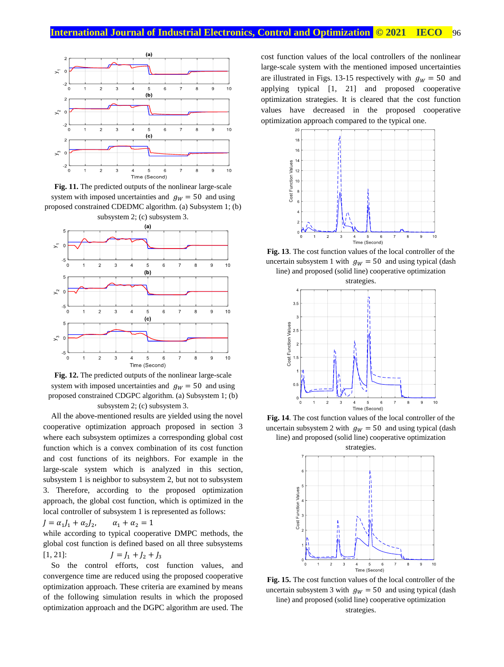

**Fig. 11.** The predicted outputs of the nonlinear large-scale system with imposed uncertainties and  $g_W = 50$  and using proposed constrained CDEDMC algorithm. (a) Subsystem 1; (b) subsystem 2; (c) subsystem 3.



**Fig. 12.** The predicted outputs of the nonlinear large-scale system with imposed uncertainties and  $g_W = 50$  and using proposed constrained CDGPC algorithm. (a) Subsystem 1; (b) subsystem 2; (c) subsystem 3.

All the above-mentioned results are yielded using the novel cooperative optimization approach proposed in section 3 where each subsystem optimizes a corresponding global cost function which is a convex combination of its cost function and cost functions of its neighbors. For example in the large-scale system which is analyzed in this section, subsystem 1 is neighbor to subsystem 2, but not to subsystem 3. Therefore, according to the proposed optimization approach, the global cost function, which is optimized in the local controller of subsystem 1 is represented as follows:

$$
J = \alpha_1 J_1 + \alpha_2 J_2, \qquad \alpha_1 + \alpha_2 = 1
$$

while according to typical cooperative DMPC methods, the global cost function is defined based on all three subsystems [1, 21]:  $J = J_1 + J_2 + J_3$ 

So the control efforts, cost function values, and convergence time are reduced using the proposed cooperative optimization approach. These criteria are examined by means of the following simulation results in which the proposed optimization approach and the DGPC algorithm are used. The cost function values of the local controllers of the nonlinear large-scale system with the mentioned imposed uncertainties are illustrated in Figs. 13-15 respectively with  $g_W = 50$  and applying typical [1, 21] and proposed cooperative optimization strategies. It is cleared that the cost function values have decreased in the proposed cooperative optimization approach compared to the typical one.



**Fig. 13**. The cost function values of the local controller of the uncertain subsystem 1 with  $g_W = 50$  and using typical (dash line) and proposed (solid line) cooperative optimization



**Fig. 14**. The cost function values of the local controller of the uncertain subsystem 2 with  $g_W = 50$  and using typical (dash line) and proposed (solid line) cooperative optimization



**Fig. 15.** The cost function values of the local controller of the uncertain subsystem 3 with  $g_W = 50$  and using typical (dash line) and proposed (solid line) cooperative optimization strategies.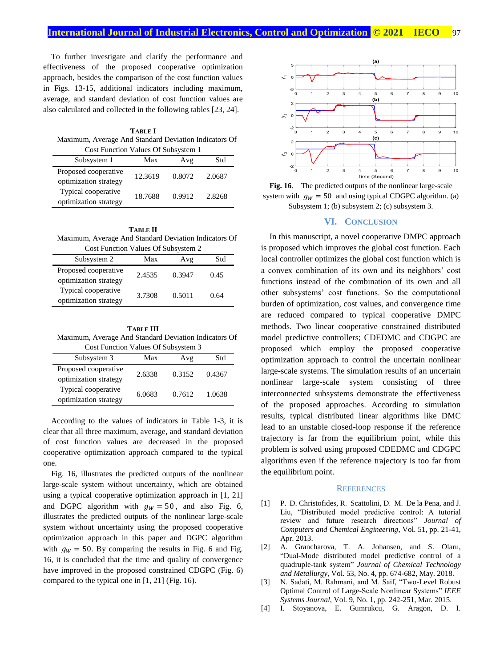To further investigate and clarify the performance and effectiveness of the proposed cooperative optimization approach, besides the comparison of the cost function values in Figs. 13-15, additional indicators including maximum, average, and standard deviation of cost function values are also calculated and collected in the following tables [23, 24].

**TABLE I** Maximum, Average And Standard Deviation Indicators Of Cost Function Values Of Subsystem 1

| Subsystem 1                                   | Max     | Avg    | Std    |
|-----------------------------------------------|---------|--------|--------|
| Proposed cooperative<br>optimization strategy | 12.3619 | 0.8072 | 2.0687 |
| Typical cooperative<br>optimization strategy  | 18.7688 | 0.9912 | 2.8268 |

**TABLE II** Maximum, Average And Standard Deviation Indicators Of Cost Function Values Of Subsystem 2

| COST FUNCTION $\alpha$ and $\beta$ Of Bubsystem $\beta$ |        |        |      |  |  |
|---------------------------------------------------------|--------|--------|------|--|--|
| Subsystem 2                                             | Max    | Avg    | Std  |  |  |
| Proposed cooperative<br>optimization strategy           | 2.4535 | 0.3947 | 0.45 |  |  |
| Typical cooperative<br>optimization strategy            | 3.7308 | 0.5011 | 0.64 |  |  |

**TABLE III** Maximum, Average And Standard Deviation Indicators Of

| Cost Function Values Of Subsystem 3           |        |        |        |  |  |
|-----------------------------------------------|--------|--------|--------|--|--|
| Subsystem 3                                   | Max    | Avg    | Std    |  |  |
| Proposed cooperative<br>optimization strategy | 2.6338 | 0.3152 | 0.4367 |  |  |
| Typical cooperative<br>optimization strategy  | 6.0683 | 0.7612 | 1.0638 |  |  |

According to the values of indicators in Table 1-3, it is clear that all three maximum, average, and standard deviation of cost function values are decreased in the proposed cooperative optimization approach compared to the typical one.

Fig. 16, illustrates the predicted outputs of the nonlinear large-scale system without uncertainty, which are obtained using a typical cooperative optimization approach in [1, 21] and DGPC algorithm with  $g_W = 50$ , and also Fig. 6, illustrates the predicted outputs of the nonlinear large-scale system without uncertainty using the proposed cooperative optimization approach in this paper and DGPC algorithm with  $g_W = 50$ . By comparing the results in Fig. 6 and Fig. 16, it is concluded that the time and quality of convergence have improved in the proposed constrained CDGPC (Fig. 6) compared to the typical one in [1, 21] (Fig. 16).



**Fig. 16**. The predicted outputs of the nonlinear large-scale system with  $g_W = 50$  and using typical CDGPC algorithm. (a) Subsystem 1; (b) subsystem 2; (c) subsystem 3.

#### **VI. CONCLUSION**

In this manuscript, a novel cooperative DMPC approach is proposed which improves the global cost function. Each local controller optimizes the global cost function which is a convex combination of its own and its neighbors' cost functions instead of the combination of its own and all other subsystems' cost functions. So the computational burden of optimization, cost values, and convergence time are reduced compared to typical cooperative DMPC methods. Two linear cooperative constrained distributed model predictive controllers; CDEDMC and CDGPC are proposed which employ the proposed cooperative optimization approach to control the uncertain nonlinear large-scale systems. The simulation results of an uncertain nonlinear large-scale system consisting of three interconnected subsystems demonstrate the effectiveness of the proposed approaches. According to simulation results, typical distributed linear algorithms like DMC lead to an unstable closed-loop response if the reference trajectory is far from the equilibrium point, while this problem is solved using proposed CDEDMC and CDGPC algorithms even if the reference trajectory is too far from the equilibrium point.

#### **REFERENCES**

- [1] P. D. Christofides, R. Scattolini, D. M. De la Pena, and J. Liu, "Distributed model predictive control: A tutorial review and future research directions" *Journal of Computers and Chemical Engineering*, Vol. 51, pp. 21-41, Apr. 2013.
- [2] A. Grancharova, T. A. Johansen, and S. Olaru, "Dual-Mode distributed model predictive control of a quadruple-tank system" *Journal of Chemical Technology and Metallurgy*, Vol. 53, No. 4, pp. 674-682, May. 2018.
- [3] N. Sadati, M. Rahmani, and M. Saif, "Two-Level Robust Optimal Control of Large-Scale Nonlinear Systems" *[IEEE](https://ieeexplore.ieee.org/xpl/RecentIssue.jsp?punumber=4267003)  [Systems Journal](https://ieeexplore.ieee.org/xpl/RecentIssue.jsp?punumber=4267003)*, Vol. 9, No. 1, pp. 242-251, Mar. 2015.
- [4] I. Stoyanova, E. Gumrukcu, G. Aragon, D. I.